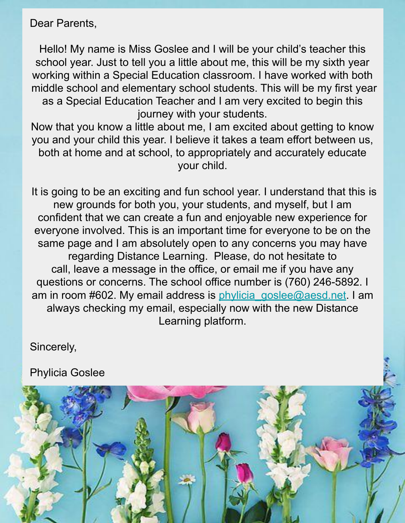Dear Parents,

Hello! My name is Miss Goslee and I will be your child's teacher this school year. Just to tell you a little about me, this will be my sixth year working within a Special Education classroom. I have worked with both middle school and elementary school students. This will be my first year as a Special Education Teacher and I am very excited to begin this journey with your students.

Now that you know a little about me, I am excited about getting to know you and your child this year. I believe it takes a team effort between us, both at home and at school, to appropriately and accurately educate your child.

It is going to be an exciting and fun school year. I understand that this is new grounds for both you, your students, and myself, but I am confident that we can create a fun and enjoyable new experience for everyone involved. This is an important time for everyone to be on the same page and I am absolutely open to any concerns you may have regarding Distance Learning. Please, do not hesitate to call, leave a message in the office, or email me if you have any questions or concerns. The school office number is (760) 246-5892. I am in room #602. My email address is [phylicia\\_goslee@aesd.net](mailto:phylicia_goslee@aesd.net). I am always checking my email, especially now with the new Distance Learning platform.

Sincerely,

Phylicia Goslee